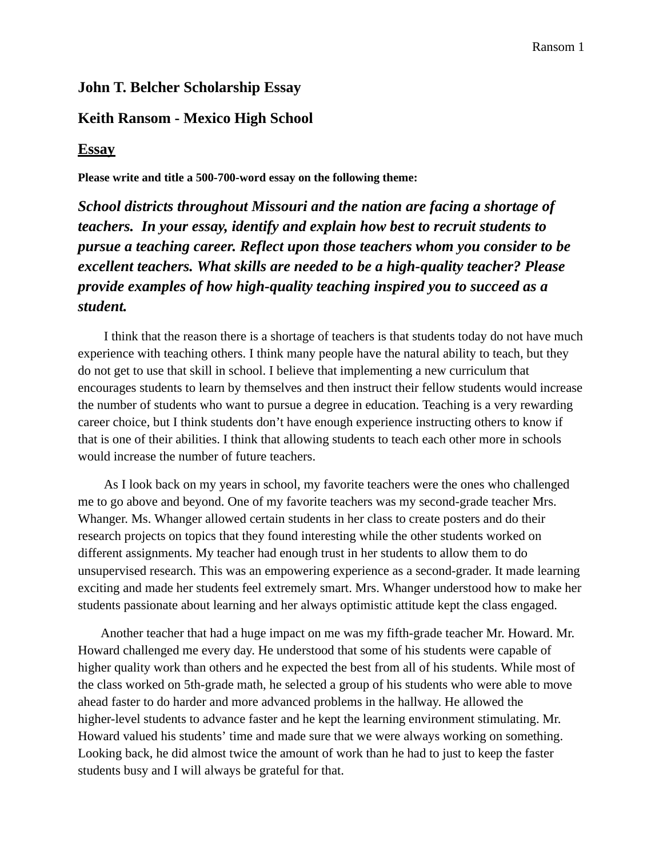## **John T. Belcher Scholarship Essay**

## **Keith Ransom - Mexico High School**

## **Essay**

**Please write and title a 500-700-word essay on the following theme:**

*School districts throughout Missouri and the nation are facing a shortage of teachers. In your essay, identify and explain how best to recruit students to pursue a teaching career. Reflect upon those teachers whom you consider to be excellent teachers. What skills are needed to be a high-quality teacher? Please provide examples of how high-quality teaching inspired you to succeed as a student.*

I think that the reason there is a shortage of teachers is that students today do not have much experience with teaching others. I think many people have the natural ability to teach, but they do not get to use that skill in school. I believe that implementing a new curriculum that encourages students to learn by themselves and then instruct their fellow students would increase the number of students who want to pursue a degree in education. Teaching is a very rewarding career choice, but I think students don't have enough experience instructing others to know if that is one of their abilities. I think that allowing students to teach each other more in schools would increase the number of future teachers.

As I look back on my years in school, my favorite teachers were the ones who challenged me to go above and beyond. One of my favorite teachers was my second-grade teacher Mrs. Whanger. Ms. Whanger allowed certain students in her class to create posters and do their research projects on topics that they found interesting while the other students worked on different assignments. My teacher had enough trust in her students to allow them to do unsupervised research. This was an empowering experience as a second-grader. It made learning exciting and made her students feel extremely smart. Mrs. Whanger understood how to make her students passionate about learning and her always optimistic attitude kept the class engaged.

Another teacher that had a huge impact on me was my fifth-grade teacher Mr. Howard. Mr. Howard challenged me every day. He understood that some of his students were capable of higher quality work than others and he expected the best from all of his students. While most of the class worked on 5th-grade math, he selected a group of his students who were able to move ahead faster to do harder and more advanced problems in the hallway. He allowed the higher-level students to advance faster and he kept the learning environment stimulating. Mr. Howard valued his students' time and made sure that we were always working on something. Looking back, he did almost twice the amount of work than he had to just to keep the faster students busy and I will always be grateful for that.